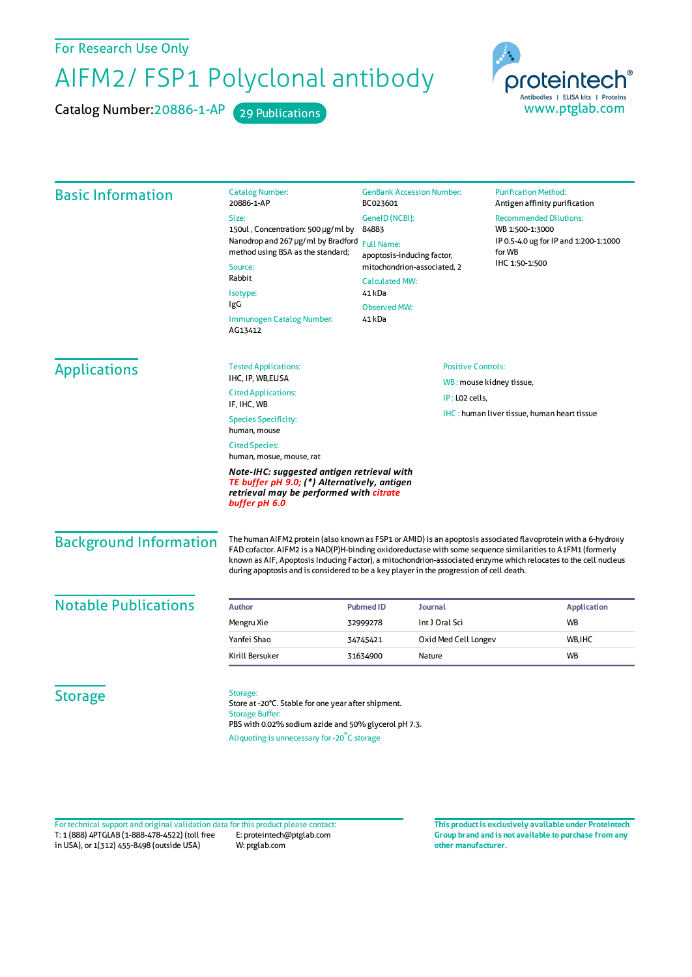For Research Use Only

## AIFM2/ FSP1 Polyclonal antibody

Catalog Number: 20886-1-AP 29 Publications



| <b>Basic Information</b>      | <b>Catalog Number:</b><br>20886-1-AP                                                                                                                                                                                                                                                                                                                                                                                                      | <b>GenBank Accession Number:</b><br>BC023601                                                                                                       |                                                    | <b>Purification Method:</b><br>Antigen affinity purification      |                    |
|-------------------------------|-------------------------------------------------------------------------------------------------------------------------------------------------------------------------------------------------------------------------------------------------------------------------------------------------------------------------------------------------------------------------------------------------------------------------------------------|----------------------------------------------------------------------------------------------------------------------------------------------------|----------------------------------------------------|-------------------------------------------------------------------|--------------------|
|                               | Size:                                                                                                                                                                                                                                                                                                                                                                                                                                     | GeneID (NCBI):                                                                                                                                     |                                                    | <b>Recommended Dilutions:</b><br>WB 1:500-1:3000                  |                    |
|                               | 150ul, Concentration: 500 µg/ml by<br>Nanodrop and 267 µg/ml by Bradford<br>method using BSA as the standard;<br>Source:<br>Rabbit<br>Isotype:                                                                                                                                                                                                                                                                                            | 84883                                                                                                                                              |                                                    |                                                                   |                    |
|                               |                                                                                                                                                                                                                                                                                                                                                                                                                                           | <b>Full Name:</b><br>apoptosis-inducing factor,<br>mitochondrion-associated, 2<br><b>Calculated MW:</b><br>41 kDa<br><b>Observed MW:</b><br>41 kDa |                                                    | IP 0.5-4.0 ug for IP and 1:200-1:1000<br>for WB<br>IHC 1:50-1:500 |                    |
|                               |                                                                                                                                                                                                                                                                                                                                                                                                                                           |                                                                                                                                                    |                                                    |                                                                   |                    |
|                               |                                                                                                                                                                                                                                                                                                                                                                                                                                           |                                                                                                                                                    |                                                    |                                                                   |                    |
|                               |                                                                                                                                                                                                                                                                                                                                                                                                                                           |                                                                                                                                                    |                                                    |                                                                   |                    |
|                               | IgG                                                                                                                                                                                                                                                                                                                                                                                                                                       |                                                                                                                                                    |                                                    |                                                                   |                    |
|                               | Immunogen Catalog Number:<br>AG13412                                                                                                                                                                                                                                                                                                                                                                                                      |                                                                                                                                                    |                                                    |                                                                   |                    |
| <b>Applications</b>           | <b>Tested Applications:</b>                                                                                                                                                                                                                                                                                                                                                                                                               | <b>Positive Controls:</b><br>WB: mouse kidney tissue,<br>IP: LO2 cells,                                                                            |                                                    |                                                                   |                    |
|                               | IHC, IP, WB, ELISA                                                                                                                                                                                                                                                                                                                                                                                                                        |                                                                                                                                                    |                                                    |                                                                   |                    |
|                               | <b>Cited Applications:</b><br>IF, IHC, WB                                                                                                                                                                                                                                                                                                                                                                                                 |                                                                                                                                                    |                                                    |                                                                   |                    |
|                               | <b>Species Specificity:</b><br>human, mouse                                                                                                                                                                                                                                                                                                                                                                                               |                                                                                                                                                    | <b>IHC:</b> human liver tissue, human heart tissue |                                                                   |                    |
|                               | <b>Cited Species:</b>                                                                                                                                                                                                                                                                                                                                                                                                                     |                                                                                                                                                    |                                                    |                                                                   |                    |
|                               | human, mosue, mouse, rat                                                                                                                                                                                                                                                                                                                                                                                                                  |                                                                                                                                                    |                                                    |                                                                   |                    |
|                               | Note-IHC: suggested antigen retrieval with<br>TE buffer pH 9.0; (*) Alternatively, antigen<br>retrieval may be performed with citrate<br>buffer pH 6.0                                                                                                                                                                                                                                                                                    |                                                                                                                                                    |                                                    |                                                                   |                    |
| <b>Background Information</b> | The human AIFM2 protein (also known as FSP1 or AMID) is an apoptosis associated flavoprotein with a 6-hydroxy<br>FAD cofactor. AIFM2 is a NAD(P)H-binding oxidoreductase with some sequence similarities to A1FM1 (formerly<br>known as AIF, Apoptosis Inducing Factor), a mitochondrion-associated enzyme which relocates to the cell nucleus<br>during apoptosis and is considered to be a key player in the progression of cell death. |                                                                                                                                                    |                                                    |                                                                   |                    |
| <b>Notable Publications</b>   | <b>Author</b>                                                                                                                                                                                                                                                                                                                                                                                                                             | <b>Pubmed ID</b>                                                                                                                                   | Journal                                            |                                                                   | <b>Application</b> |
|                               | Mengru Xie                                                                                                                                                                                                                                                                                                                                                                                                                                | 32999278                                                                                                                                           | Int J Oral Sci                                     | WB                                                                |                    |
|                               | Yanfei Shao                                                                                                                                                                                                                                                                                                                                                                                                                               | 34745421                                                                                                                                           | Oxid Med Cell Longev                               | WB, IHC                                                           |                    |
|                               | Kirill Bersuker                                                                                                                                                                                                                                                                                                                                                                                                                           | 31634900                                                                                                                                           | Nature                                             | <b>WB</b>                                                         |                    |
| <b>Storage</b>                | Storage:<br>Store at -20°C. Stable for one year after shipment.<br><b>Storage Buffer:</b>                                                                                                                                                                                                                                                                                                                                                 |                                                                                                                                                    |                                                    |                                                                   |                    |
|                               | PBS with 0.02% sodium azide and 50% glycerol pH 7.3.                                                                                                                                                                                                                                                                                                                                                                                      |                                                                                                                                                    |                                                    |                                                                   |                    |
|                               | Aliquoting is unnecessary for -20°C storage                                                                                                                                                                                                                                                                                                                                                                                               |                                                                                                                                                    |                                                    |                                                                   |                    |

T: 1 (888) 4PTGLAB (1-888-478-4522) (toll free in USA), or 1(312) 455-8498 (outside USA) E: proteintech@ptglab.com W: ptglab.com Fortechnical support and original validation data forthis product please contact: **This productis exclusively available under Proteintech**

**Group brand and is not available to purchase from any other manufacturer.**